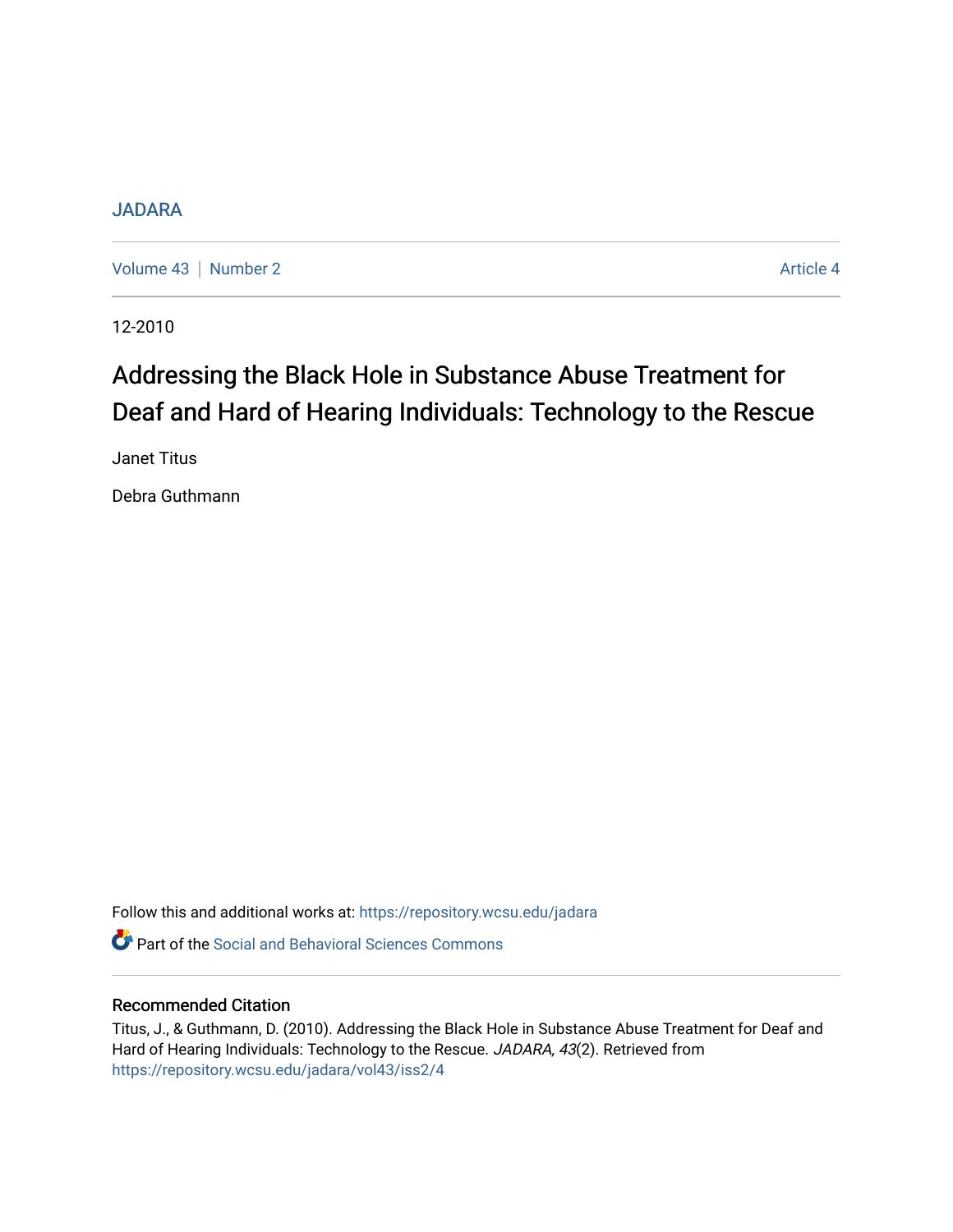### [JADARA](https://repository.wcsu.edu/jadara)

[Volume 43](https://repository.wcsu.edu/jadara/vol43) | [Number 2](https://repository.wcsu.edu/jadara/vol43/iss2) Article 4

12-2010

# Addressing the Black Hole in Substance Abuse Treatment for Deaf and Hard of Hearing Individuals: Technology to the Rescue

Janet Titus

Debra Guthmann

Follow this and additional works at: [https://repository.wcsu.edu/jadara](https://repository.wcsu.edu/jadara?utm_source=repository.wcsu.edu%2Fjadara%2Fvol43%2Fiss2%2F4&utm_medium=PDF&utm_campaign=PDFCoverPages)

**C** Part of the Social and Behavioral Sciences Commons

#### Recommended Citation

Titus, J., & Guthmann, D. (2010). Addressing the Black Hole in Substance Abuse Treatment for Deaf and Hard of Hearing Individuals: Technology to the Rescue. JADARA, 43(2). Retrieved from [https://repository.wcsu.edu/jadara/vol43/iss2/4](https://repository.wcsu.edu/jadara/vol43/iss2/4?utm_source=repository.wcsu.edu%2Fjadara%2Fvol43%2Fiss2%2F4&utm_medium=PDF&utm_campaign=PDFCoverPages)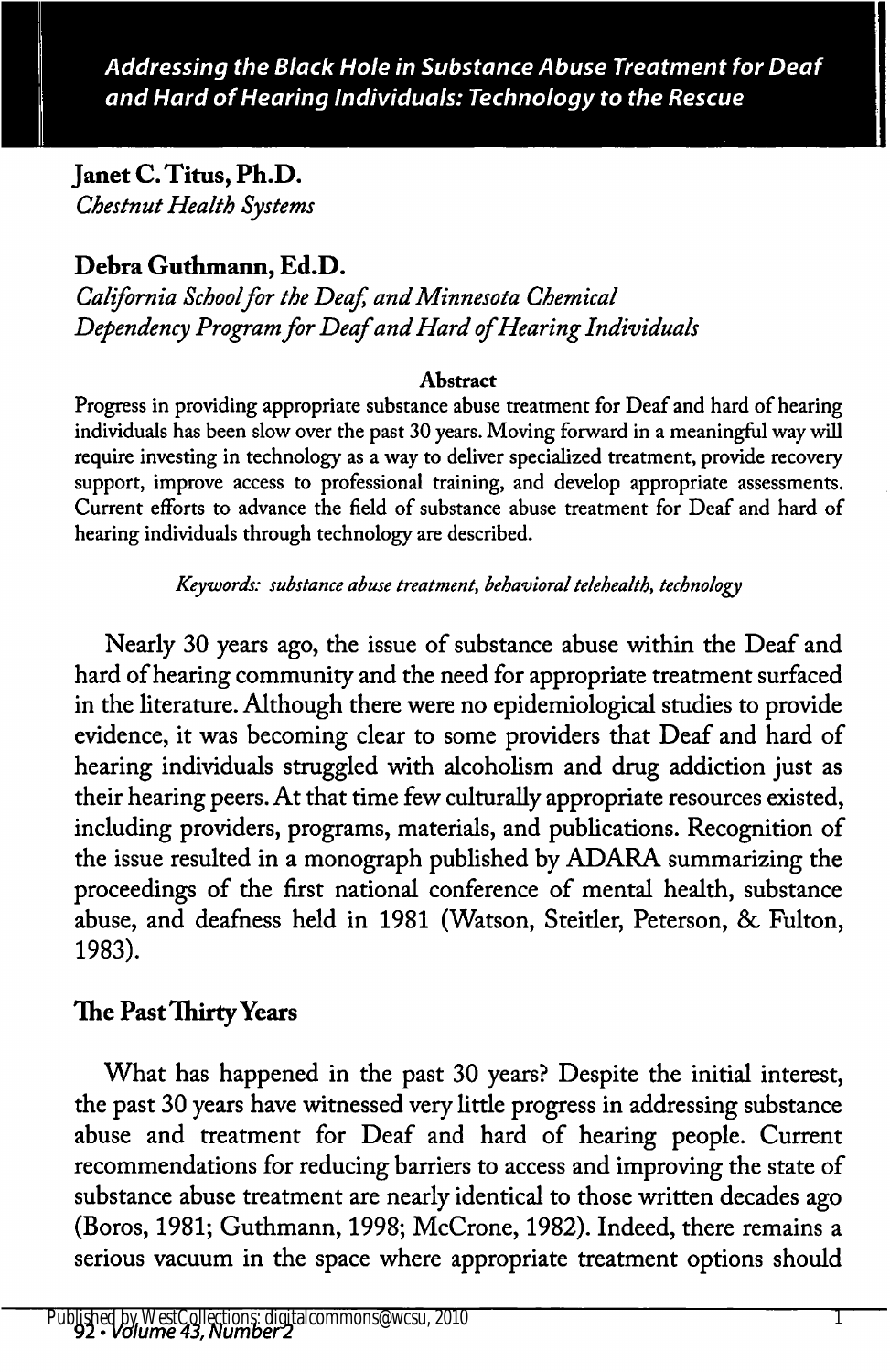Janet C. Titus, Ph.D. Chestnut Health Systems

# Debra Guthmann, Ed.D.

California School for the Deaf, and Minnesota Chemical Dependency Program for Deaf and Hard of Hearing Individuals

#### Abstract

Progress in providing appropriate substance abuse treatment for Deaf and hard of hearing individuals has been slow over the past 30 years. Moving forward in a meaningful way will require investing in technology as a way to deliver specialized treatment, provide recovery support, improve access to professional training, and develop appropriate assessments. Current efforts to advance the field of substance abuse treatment for Deaf and hard of hearing individuals through technology are described.

Keywords: substance abuse treatment, behavioral telehealth, technology

Nearly 30 years ago, the issue of substance abuse within the Deaf and hard of hearing community and the need for appropriate treatment surfaced in the literature. Although there were no epidemiological studies to provide evidence, it was becoming clear to some providers that Deaf and hard of hearing individuals struggled with alcoholism and drug addiction just as their hearing peers. At that time few culturally appropriate resources existed, including providers, programs, materials, and publications. Recognition of the issue resulted in a monograph published by ADARA summarizing the proceedings of the first national conference of mental health, substance abuse, and deafness held in 1981 (Watson, Steitler, Peterson, & Fulton, 1983).

# The Past Thirty Years

What has happened in the past 30 years? Despite the initial interest, the past 30 years have witnessed very little progress in addressing substance abuse and treatment for Deaf and hard of hearing people. Current recommendations for reducing barriers to access and improving the state of substance abuse treatment are nearly identical to those written decades ago (Boros, 1981; Guthmann, 1998; McCrone, 1982). Indeed, there remains a serious vacuum in the space where appropriate treatment options should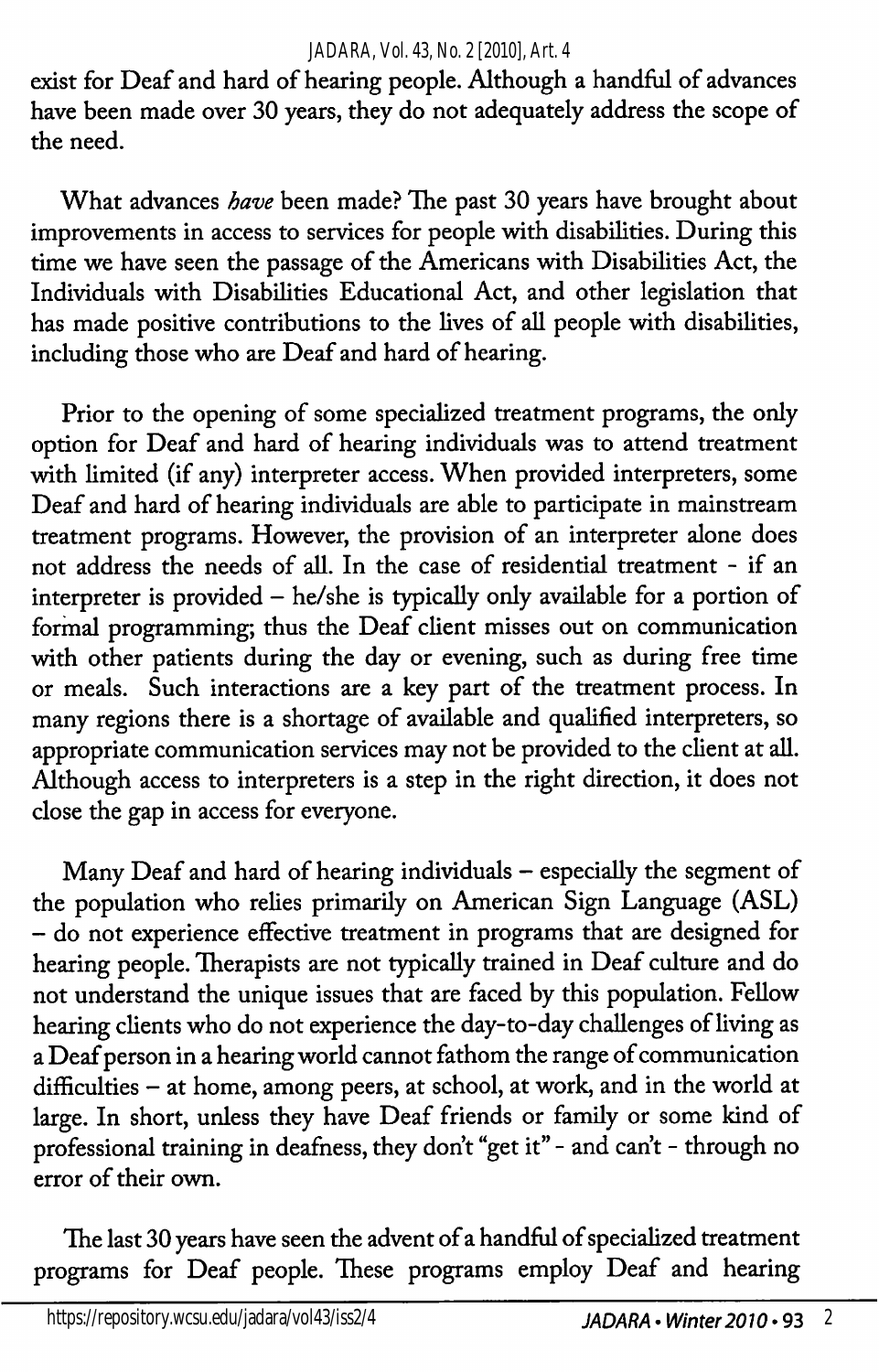exist for Deaf and hard of hearing people. Although a handful of advances have been made over 30 years, they do not adequately address the scope of the need.

What advances have been made? The past 30 years have brought about improvements in access to services for people with disabilities. During this time we have seen the passage of the Americans with Disabilities Act, the Individuals with Disabilities Educational Act, and other legislation that has made positive contributions to the lives of all people with disabilities, including those who are Deaf and hard of hearing.

Prior to the opening of some specialized treatment programs, the only option for Deaf and hard of hearing individuals was to attend treatment with limited (if any) interpreter access. When provided interpreters, some Deaf and hard of hearing individuals are able to participate in mainstream treatment programs. However, the provision of an interpreter alone does not address the needs of all. In the case of residential treatment - if an interpreter is provided — he/she is typically only available for a portion of formal programming; thus the Deaf client misses out on communication with other patients during the day or evening, such as during free time or meals. Such interactions are a key part of the treatment process. In many regions there is a shortage of available and qualified interpreters, so appropriate communication services may not be provided to the client at all. Although access to interpreters is a step in the right direction, it does not close the gap in access for everyone.

Many Deaf and hard of hearing individuals - especially the segment of the population who relies primarily on American Sign Language (ASL) — do not experience effective treatment in programs that are designed for hearing people. Therapists are not typically trained in Deaf culture and do not understand the unique issues that are faced by this population. Fellow hearing clients who do not experience the day-to-day challenges of living as a Deaf person in a hearing world cannot fathom the range of communication difficulties - at home, among peers, at school, at work, and in the world at large. In short, unless they have Deaf friends or family or some kind of professional training in deafness, they don't "get it" - and can't - through no error of their own.

The last 30 years have seen the advent of a handful of specialized treatment programs for Deaf people. These programs employ Deaf and hearing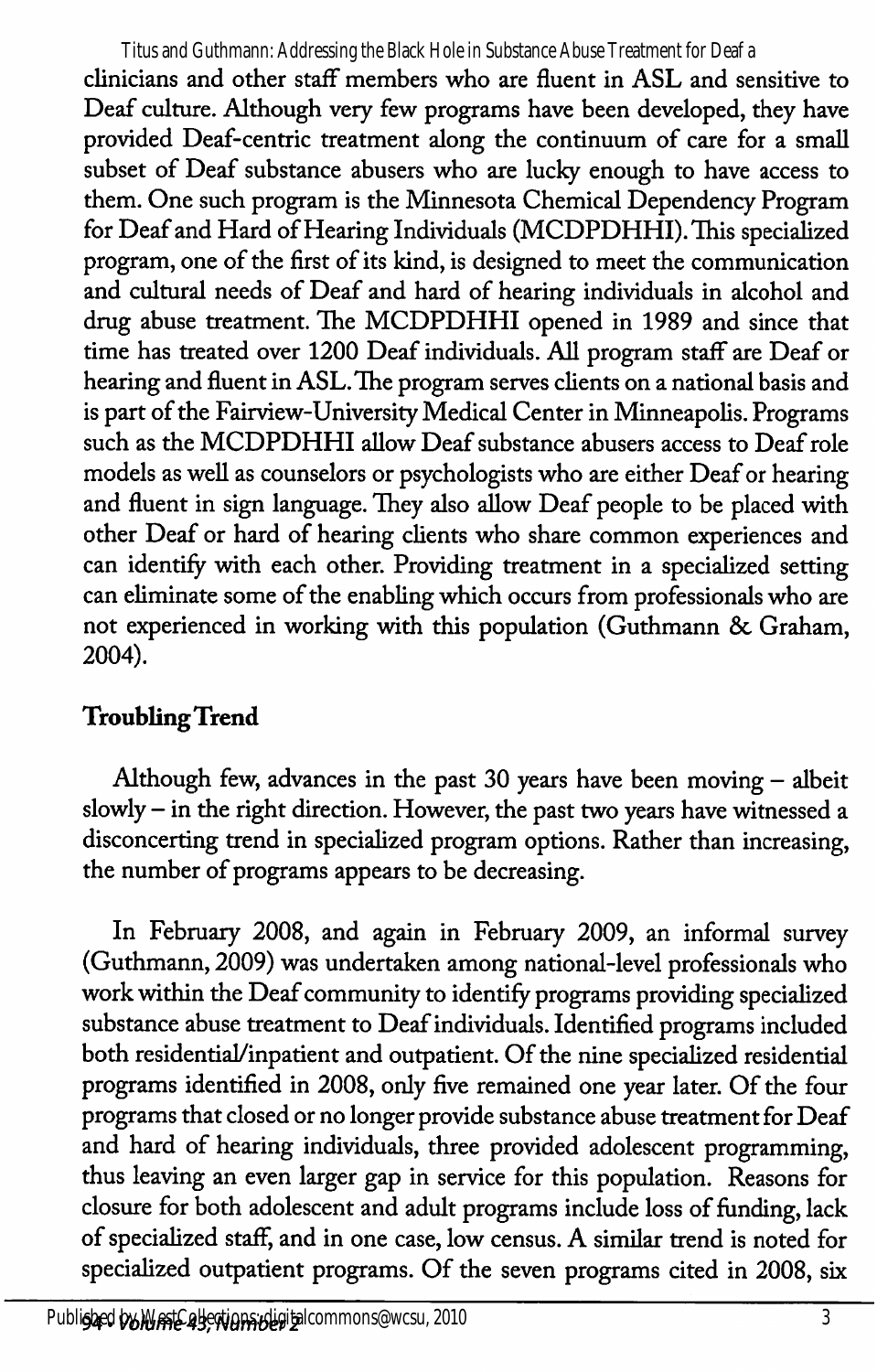clinicians and other staff members who are fluent in ASL and sensitive to Deaf culture. Although very few programs have been developed, they have provided Deaf-centric treatment along the continuum of care for a small subset of Deaf substance abusers who are lucky enough to have access to them. One such program is the Minnesota Chemical Dependency Program for Deaf and Hard of Hearing Individuals (MCDPDHHI). This specialized program, one of the first of its kind, is designed to meet the communication and cultural needs of Deaf and hard of hearing individuals in alcohol and drug abuse treatment. The MCDPDHHI opened in 1989 and since that time has treated over 1200 Deaf individuals. All program staff are Deaf or hearing and fluent in ASL. The program serves clients on a national basis and is part of the Fairview-University Medical Center in Minneapolis. Programs such as the MCDPDHHI allow Deaf substance abusers access to Deaf role models as well as counselors or psychologists who are either Deaf or hearing and fluent in sign language. They also allow Deaf people to be placed with other Deaf or hard of hearing clients who share common experiences and can identify with each other. Providing treatment in a specialized setting can eliminate some of the enabling which occurs from professionals who are not experienced in working with this population (Guthmann & Graham, 2004). Titus and Guthmann: Addressing the Black Hole in Substance Abuse Treatment for Deaf a

# Troubling Trend

Although few, advances in the past 30 years have been moving — albeit slowly - in the right direction. However, the past two years have witnessed a disconcerting trend in specialized program options. Rather than increasing, the number of programs appears to be decreasing.

In February 2008, and again in February 2009, an informal survey (Guthmann, 2009) was undertaken among national-level professionals who work within the Deaf community to identify programs providing specialized substance abuse treatment to Deaf individuals. Identified programs included both residential/inpatient and outpatient. Of the nine specialized residential programs identified in 2008, only five remained one year later. Of the four programs that closed or no longer provide substance abuse treatment for Deaf and hard of hearing individuals, three provided adolescent programming, thus leaving an even larger gap in service for this population. Reasons for closure for both adolescent and adult programs include loss of funding, lack of specialized staff, and in one case, low census. A similar trend is noted for specialized outpatient programs. Of the seven programs cited in 2008, six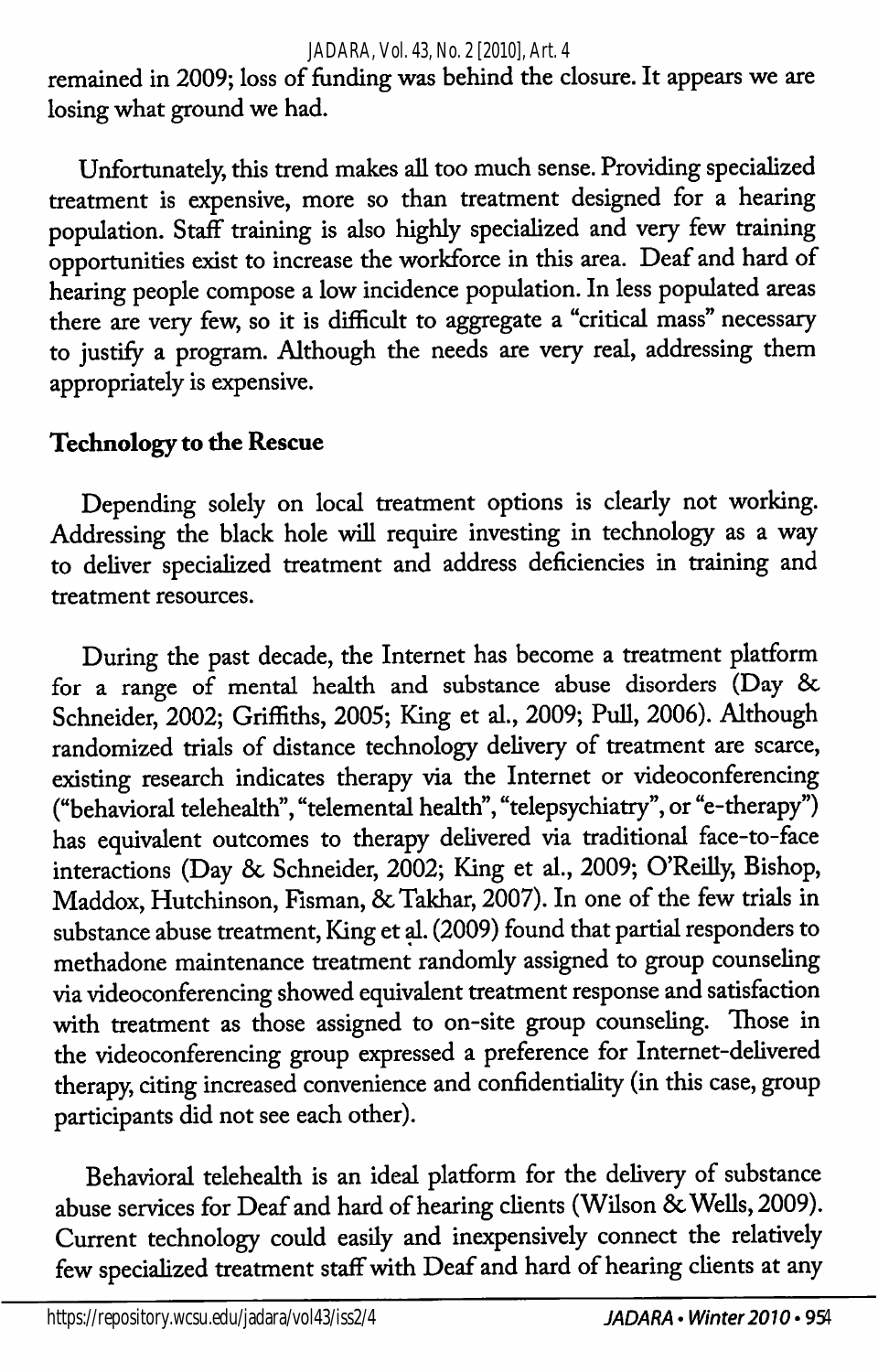#### *JADARA, Vol. 43, No. 2 [2010], Art. 4*

remained in 2009; loss of funding was behind the closure. It appears we are losing what ground we had.

Unfortunately, this trend makes all too much sense. Providing specialized treatment is expensive, more so than treatment designed for a hearing population. Staff training is also highly specialized and very few training opportunities exist to increase the workforce in this area. Deaf and hard of hearing people compose a low incidence population. In less populated areas there are very few, so it is difficult to aggregate a "critical mass" necessary to justify a program. Although the needs are very real, addressing them appropriately is expensive.

### Technology to the Rescue

Depending solely on local treatment options is clearly not working. Addressing the black hole wiU require investing in technology as a way to deliver specialized treatment and address deficiencies in training and treatment resources.

During the past decade, the Internet has become a treatment platform for a range of mental health and substance abuse disorders (Day & Schneider, 2002; Griffiths, 2005; King et al., 2009; Pull, 2006). Although randomized trials of distance technology delivery of treatment are scarce, existing research indicates therapy via the Internet or videoconferencing ("behavioral telehealth", "telemental health", "telepsychiatry", or "e-therapy") has equivalent outcomes to therapy delivered via traditional face-to-face interactions (Day 8c Schneider, 2002; King et al., 2009; O'Reilly, Bishop, Maddox, Hutchinson, Fisman, & Takhar, 2007). In one of the few trials in substance abuse treatment. King et d. (2009) found that partial responders to methadone maintenance treatment randomly assigned to group counseling via videoconferencing showed equivalent treatment response and satisfaction with treatment as those assigned to on-site group counseling. Those in the videoconferencing group expressed a preference for Internet-delivered therapy, citing increased convenience and confidentiality (in this case, group participants did not see each other).

Behaworal telehealth is an ideal platform for the delivery of substance abuse services for Deaf and hard of hearing clients (Wilson & Wells, 2009). Current technology could easily and inexpensively connect the relatively few specialized treatment staff with Deaf and hard of hearing clients at any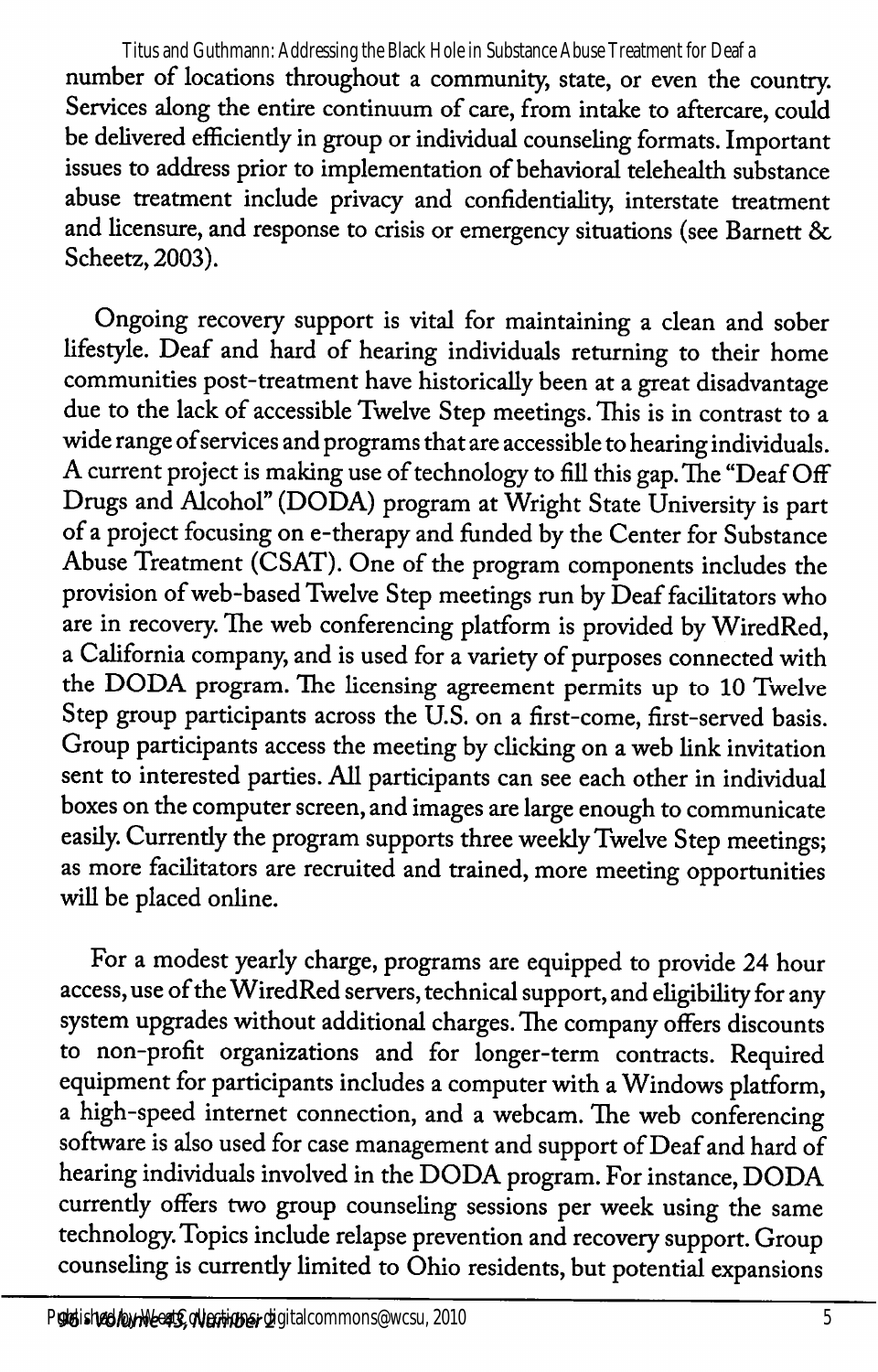number of locations throughout a community, state, or even the country. Services along the entire continuum of care, from intake to aftercare, could be delivered efficiendy in group or individual counseling formats. Important issues to address prior to implementation of behavioral telehealth substance abuse treatment include privacy and confidentiality, interstate treatment and licensure, and response to crisis or emergency situations (see Barnett & Scheetz, 2003). Titus and Guthmann: Addressing the Black Hole in Substance Abuse Treatment for Deaf a

Ongoing recovery support is vital for maintaining a clean and sober lifestyle. Deaf and hard of hearing individuals returning to their home communities post-treatment have historically been at a great disadvantage due to the lack of accessible Twelve Step meetings. This is in contrast to a wide range ofservices and programs that are accessible to hearing individuals. A current project is making use of technology to fill this gap. The "Deaf Off Drugs and Alcohol" (DODA) program at Wright State University is part of a project focusing on e-therapy and funded by the Center for Substance Abuse Treatment (CSAT). One of the program components includes the provision of web-based Twelve Step meetings run by Deaf facilitators who are in recovery. The web conferencing platform is provided by WiredRed, a California company, and is used for a variety of purposes connected with the DODA program. The licensing agreement permits up to 10 Twelve Step group participants across the U.S. on a first-come, first-served basis. Group participants access the meeting by clicking on a web link invitation sent to interested parties. All participants can see each other in individual boxes on the computer screen, and images are large enough to communicate easily. Currently the program supports three weekly Twelve Step meetings; as more facilitators are recruited and trained, more meeting opportunities will be placed online.

For a modest yearly charge, programs are equipped to provide 24 hour access, use of the WiredRed servers, technical support, and eligibility for any system upgrades without additional charges. The company offers discounts to non-profit organizations and for longer-term contracts. Required equipment for participants includes a computer with a Windows platform, a high-speed internet connection, and a webcam. The web conferencing software is also used for case management and support of Deaf and hard of hearing individuals involved in the DODA program. For instance, DODA currentiy offers two group counseling sessions per week using the same technology. Topics include relapse prevention and recovery support. Group counseling is currendy limited to Ohio residents, but potential expansions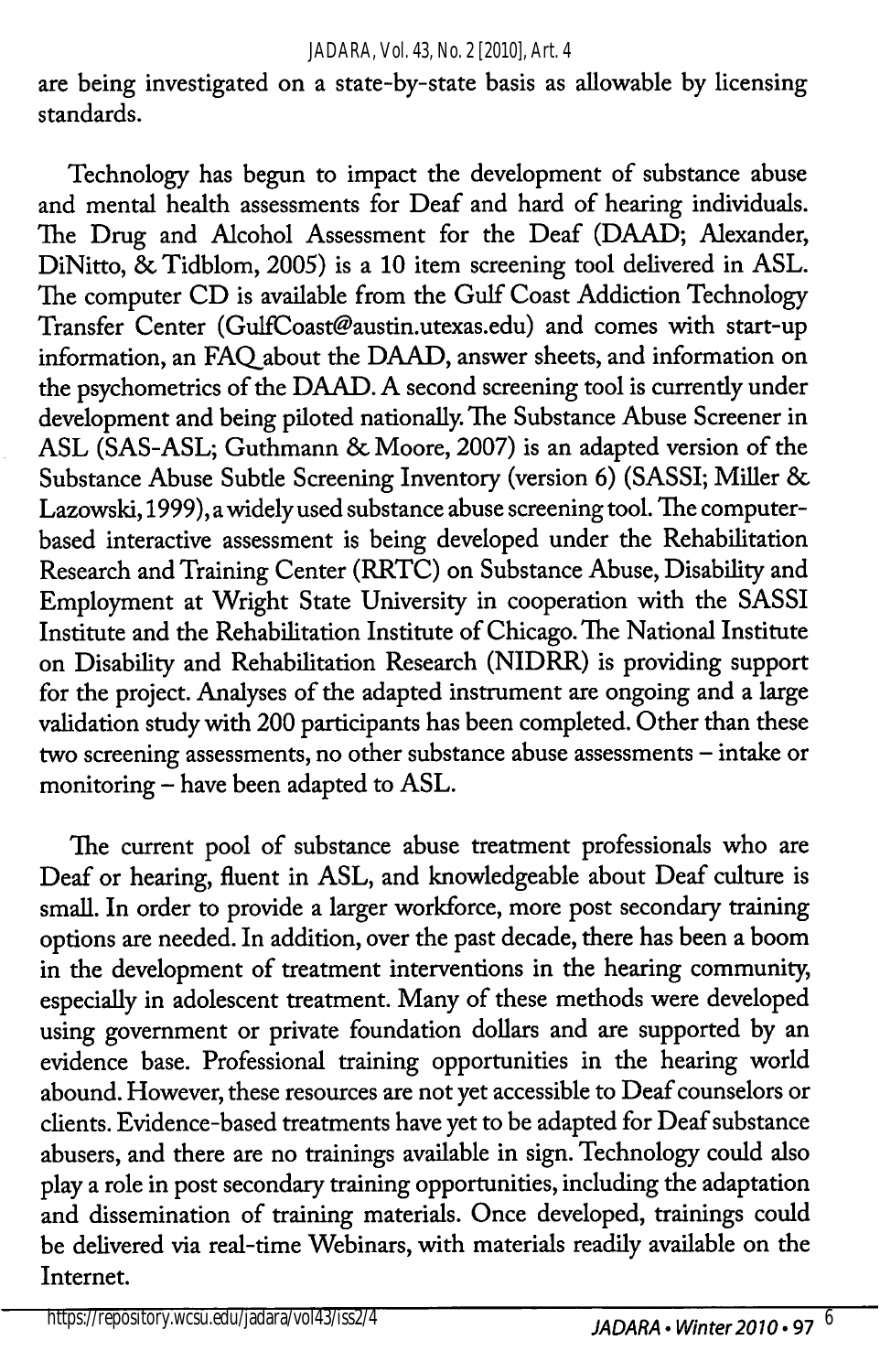are being investigated on a state-by-state basis as allowable by licensing standards.

Technology has begun to impact the development of substance abuse and mental health assessments for Deaf and hard of hearing individuals. The Drug and Alcohol Assessment for the Deaf (DAAD; Alexander, DiNitto, Sc Tidblom, 2005) is a 10 item screening tool delivered in ASL. The computer CD is available from the Gulf Coast Addiction Technology Transfer Center (GulfCoast@austin.utexas.edu) and comes with start-up information, an FAQ about the DAAD, answer sheets, and information on the psychometrics of the DAAD. A second screening tool is currently under development and being piloted nationally. The Substance Abuse Screener in ASL (SAS-ASL; Guthmann & Moore, 2007) is an adapted version of the Substance Abuse Subtle Screening Inventory (version 6) (SASSI; Miller & Lazowski, 1999), a widely used substance abuse screening tool. The computerbased interactive assessment is being developed under the Rehabilitation Research and Training Center (RRTC) on Substance Abuse, Disability and Employment at Wright State University in cooperation with the SASSI Institute and the Rehabilitation Institute of Chicago. The National Institute on Disability and Rehabilitation Research (NIDRR) is providing support for the project. Analyses of the adapted instrument are ongoing and a large validation study with 200 participants has been completed. Other than these two screening assessments, no other substance abuse assessments — intake or monitoring - have been adapted to ASL.

The current pool of substance abuse treatment professionals who are Deaf or hearing, fluent in ASL, and knowledgeable about Deaf culture is small. In order to provide a larger workforce, more post secondary training options are needed. In addition, over the past decade, there has been a boom in the development of treatment interventions in the hearing community, especially in adolescent treatment. Many of these methods were developed using government or private foundation dollars and are supported by an evidence base. Professional training opportunities in the hearing world abound. However, these resources are not yet accessible to Deaf counselors or clients. Evidence-based treatments have yet to be adapted for Deaf substance abusers, and there are no trainings available in sign. Technology could also play a role in post secondary training opportunities, including the adaptation and dissemination of training materials. Once developed, trainings could be delivered via real-time Webinars, with materials readily available on the Internet.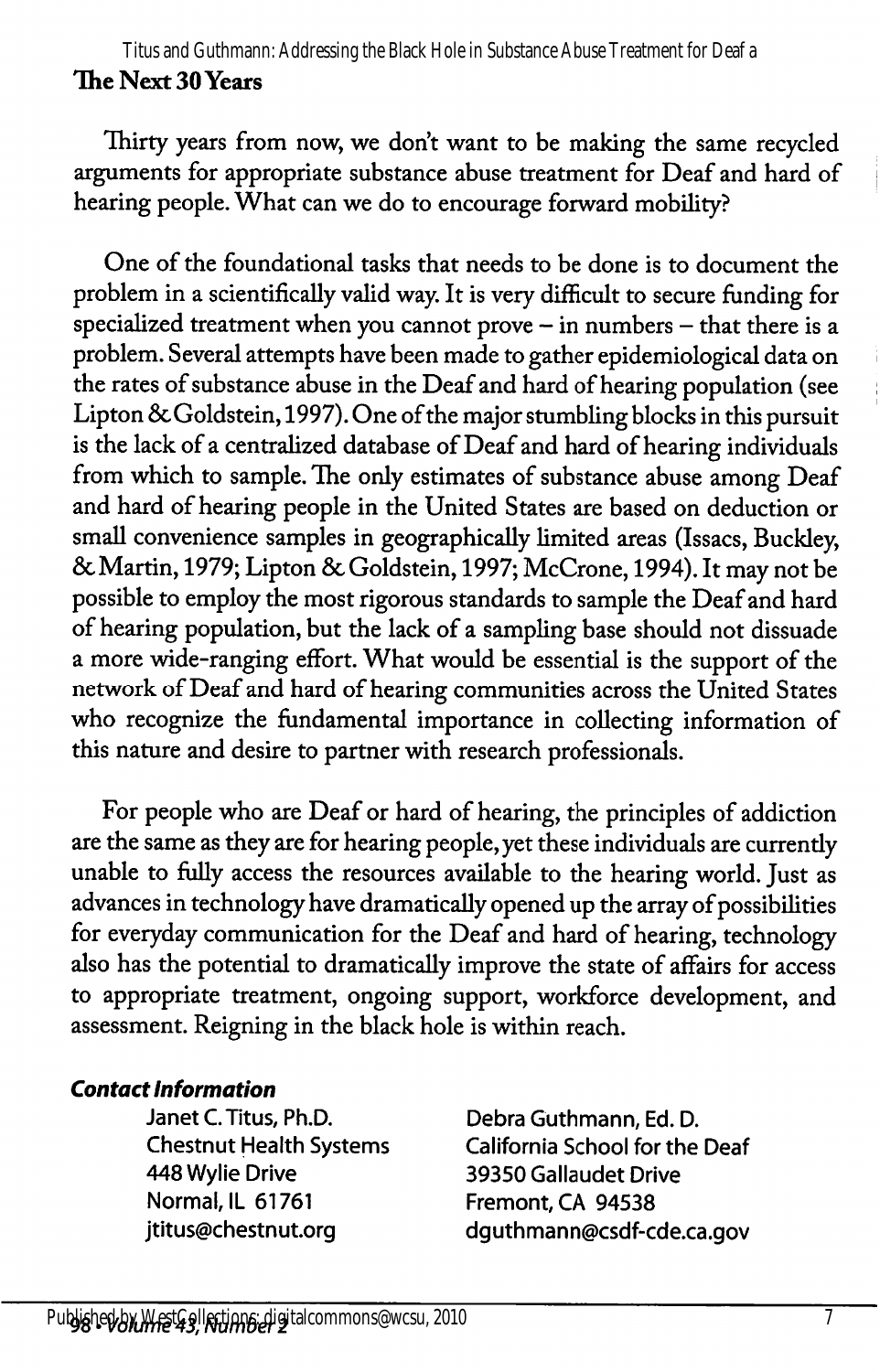The Next 30 Years Titus and Guthmann: Addressing the Black Hole in Substance Abuse Treatment for Deaf a

Thirty years from now, we don't want to be making the same recycled arguments for appropriate substance abuse treatment for Deaf and bard of hearing people. What can we do to encourage forward mobility?

One of the foundational tasks that needs to be done is to document the problem in a scientifically valid way. It is very difficult to secure funding for specialized treatment when you cannot prove - in numbers - that there is a problem. Several attempts have been made to gather epidemiological data on the rates of substance abuse in the Deaf and hard of hearing population (see Lipton & Goldstein, 1997). One of the major stumbling blocks in this pursuit is the lack of a centralized database of Deaf and hard of hearing individuals from which to sample. The only estimates of substance abuse among Deaf and bard of bearing people in the United States are based on deduction or small convenience samples in geographically limited areas (Issacs, Buckley, 6cMartin, 1979; Lipton 6c Goldstein, 1997; McCrone, 1994). It may not be possible to employ the most rigorous standards to sample the Deaf and bard of hearing population, but the lack of a sampling base should not dissuade a more wide-ranging effort. What would be essential is the support of the network of Deaf and bard of bearing communities across the United States who recognize the fundamental importance in collecting information of this nature and desire to partner with research professionals.

For people who are Deaf or bard of bearing, the principles of addiction are the same as they are for bearing people, yet these individuals are currentiy unable to fially access the resources available to the bearing world. Just as advances in technology have dramatically opened up the array of possibilities for everyday communication for the Deaf and bard of bearing, technology also has the potential to dramatically improve the state of affairs for access to appropriate treatment, ongoing support, workforce development, and assessment. Reigning in the black bole is within reach.

### Contact Information

Janet C. Titus, Ph.D. Debra Guthmann, Ed. D. 448 Wylie Drive 39350 Gallaudet Drive Normal, IL 61761 Fremont, CA 94538

Chestnut Health Systems California School for the Deaf jtitus@chestnut.org dguthmann@csdf-cde.ca.gov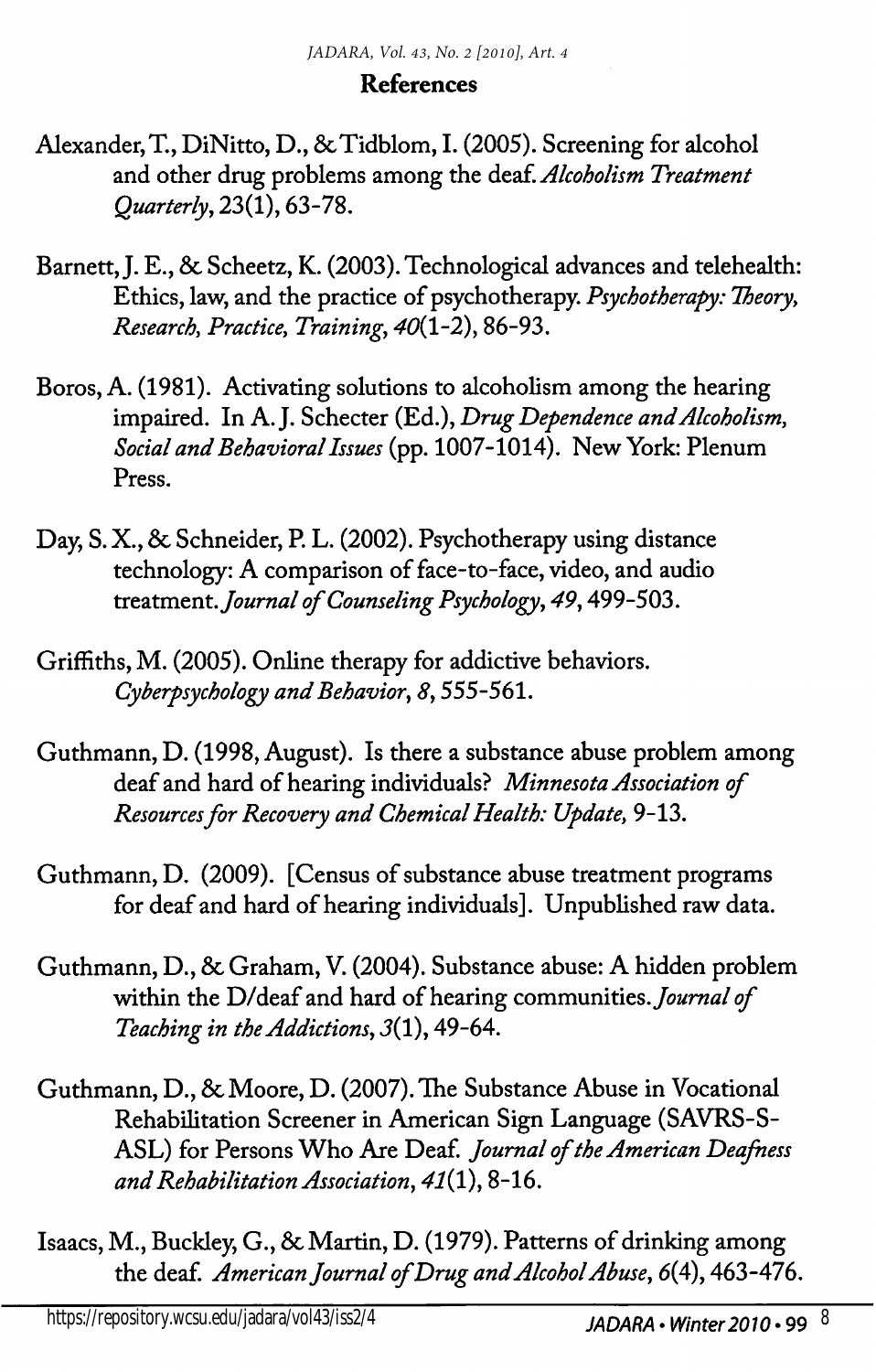### References

- Alexander, T., DiNitto, D., & Tidblom, I. (2005). Screening for alcohol and other drug problems among the deaf. Alcoholism Treatment Quarterly^ 23(1), 63-78.
- Barnett, J. E., 8c Scheetz, K. (2003). Technological advances and telehealth: Ethics, law, and the practice of psychotherapy. Psychotherapy: Theory, Research, Practice, Training, 40(1-2), 86-93.
- Boros, A. (1981). Activating solutions to alcoholism among the hearing impaired. In A.J. Schecter (Ed.), Drug Dependence and Alcoholism, Social and Behavioral Issues (pp. 1007-1014). New York: Plenum Press.
- Day, S. X., 8c Schneider, P. L. (2002). Psychotherapy using distance technology: A comparison of face-to-face, video, and audio treatment. Journal of Counseling Psychology, 49, 499-503.
- Griffiths, M. (2005). Online therapy for addictive behaviors. Cyberpsychology and Behavior, 8,555-561.
- Guthmann, D. (1998, August). Is there a substance abuse problem among deaf and hard of hearing individuals? Minnesota Association of Resources for Recovery and Chemical Health: Update, 9-13.
- Guthmann, D, (2009). [Census of substance abuse treatment programs for deaf and hard of hearing individuals]. Unpublished raw data.
- Guthmann, D., 8c Graham, V. (2004). Substance abuse: A hidden problem within the D/deaf and hard of hearing communities. Journal of Teaching in the Addictions, J(l), 49-64.
- Guthmann, D., 8c Moore, D. (2007). The Substance Abuse in Vocational Rehabilitation Screener in American Sign Language (SAVRS-S-ASL) for Persons Who Are Deaf. Journal of the American Deafness and Rehabilitation Association, 47(1), 8-16.
- Isaacs, M., Buckley, G., 8c Martin, D. (1979). Patterns of drinking among the deaf. American Journal of Drug and Alcohol Abuse, 6(4), 463-476.